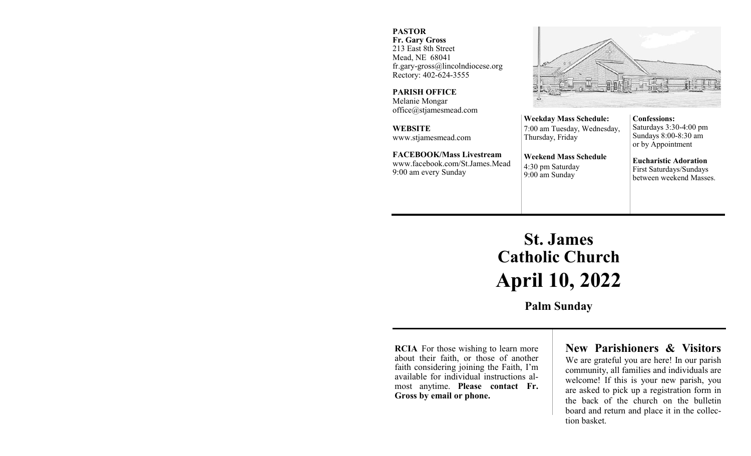#### **PASTOR**

**Fr. Gary Gross** 213 East 8th Street Mead, NE 68041 fr.gary-gross@lincolndiocese.org Rectory: 402-624-3555

**PARISH OFFICE** Melanie Mongar office@stjamesmead.com

**WEBSITE** www.stjamesmead.com

**FACEBOOK/Mass Livestream** [www.facebook.com/St.James.Mead](https://www.facebook.com/St.James.Mead/) 9:00 am every Sunday

**Confessions:**  Saturdays 3:30-4:00 pm Sundays 8:00-8:30 am or by Appointment

**Eucharistic Adoration**  First Saturdays/Sundays between weekend Masses.

# **St. James Catholic Church April 10, 2022**

**Weekday Mass Schedule:**  7:00 am Tuesday, Wednesday,

**Weekend Mass Schedule**

Thursday, Friday

4:30 pm Saturday 9:00 am Sunday

**Palm Sunday**

**RCIA** For those wishing to learn more about their faith, or those of another faith considering joining the Faith, I'm available for individual instructions almost anytime. **Please contact Fr. Gross by email or phone.**

## **New Parishioners & Visitors**

We are grateful you are here! In our parish community, all families and individuals are welcome! If this is your new parish, you are asked to pick up a registration form in the back of the church on the bulletin board and return and place it in the collection basket.